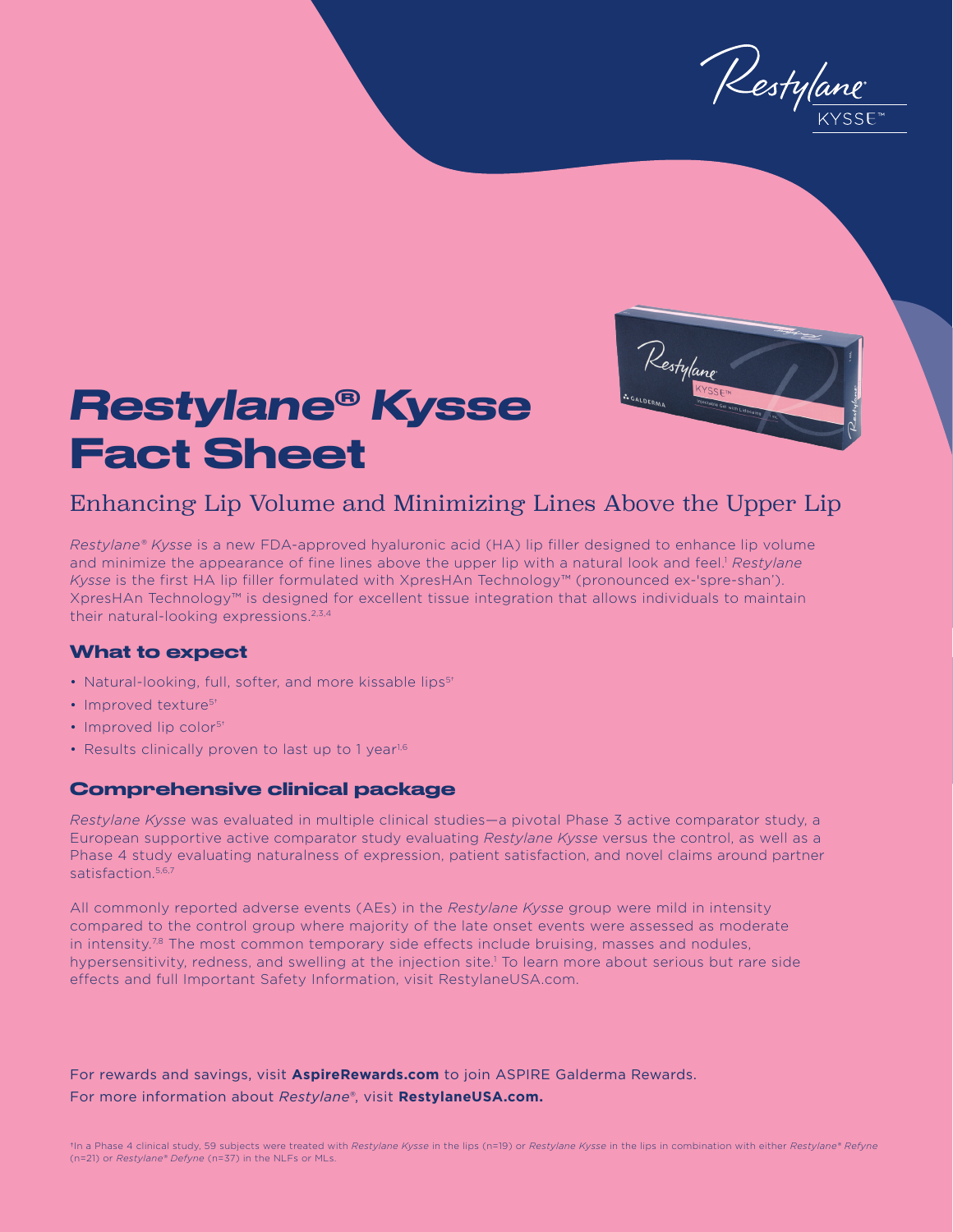Restylane



# *Restylane® Kysse* Fact Sheet

## Enhancing Lip Volume and Minimizing Lines Above the Upper Lip

*Restylane® Kysse* is a new FDA-approved hyaluronic acid (HA) lip filler designed to enhance lip volume and minimize the appearance of fine lines above the upper lip with a natural look and feel.<sup>1</sup> *Restylane Kysse* is the first HA lip filler formulated with XpresHAn Technology™ (pronounced ex-'spre-shan'). XpresHAn Technology™ is designed for excellent tissue integration that allows individuals to maintain their natural-looking expressions.<sup>2,3,4</sup>

### What to expect

- Natural-looking, full, softer, and more kissable lips<sup>5+</sup>
- Improved texture<sup>5+</sup>
- Improved lip color<sup>5+</sup>
- Results clinically proven to last up to 1 year<sup>1,6</sup>

#### Comprehensive clinical package

*Restylane Kysse* was evaluated in multiple clinical studies—a pivotal Phase 3 active comparator study, a European supportive active comparator study evaluating *Restylane Kysse* versus the control, as well as a Phase 4 study evaluating naturalness of expression, patient satisfaction, and novel claims around partner satisfaction.<sup>5,6,7</sup>

All commonly reported adverse events (AEs) in the *Restylane Kysse* group were mild in intensity compared to the control group where majority of the late onset events were assessed as moderate in intensity.<sup>78</sup> The most common temporary side effects include bruising, masses and nodules, hypersensitivity, redness, and swelling at the injection site.<sup>1</sup> To learn more about serious but rare side effects and full Important Safety Information, visit RestylaneUSA.com.

For rewards and savings, visit **AspireRewards.com** to join ASPIRE Galderma Rewards. For more information about *Restylane®*, visit **RestylaneUSA.com.**